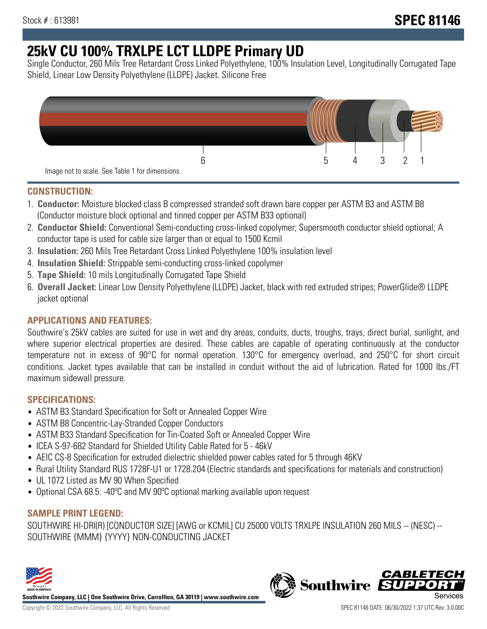# **25kV CU 100% TRXLPE LCT LLDPE Primary UD**

Single Conductor, 260 Mils Tree Retardant Cross Linked Polyethylene, 100% Insulation Level, Longitudinally Corrugated Tape Shield, Linear Low Density Polyethylene (LLDPE) Jacket. Silicone Free



## **CONSTRUCTION:**

- 1. **Conductor:** Moisture blocked class B compressed stranded soft drawn bare copper per ASTM B3 and ASTM B8 (Conductor moisture block optional and tinned copper per ASTM B33 optional)
- 2. **Conductor Shield:** Conventional Semi-conducting cross-linked copolymer; Supersmooth conductor shield optional; A conductor tape is used for cable size larger than or equal to 1500 Kcmil
- 3. **Insulation:** 260 Mils Tree Retardant Cross Linked Polyethylene 100% insulation level
- 4. **Insulation Shield:** Strippable semi-conducting cross-linked copolymer
- 5. **Tape Shield:** 10 mils Longitudinally Corrugated Tape Shield
- 6. **Overall Jacket:** Linear Low Density Polyethylene (LLDPE) Jacket, black with red extruded stripes; PowerGlide® LLDPE jacket optional

# **APPLICATIONS AND FEATURES:**

Southwire's 25kV cables are suited for use in wet and dry areas, conduits, ducts, troughs, trays, direct burial, sunlight, and where superior electrical properties are desired. These cables are capable of operating continuously at the conductor temperature not in excess of 90°C for normal operation. 130°C for emergency overload, and 250°C for short circuit conditions. Jacket types available that can be installed in conduit without the aid of lubrication. Rated for 1000 lbs./FT maximum sidewall pressure.

# **SPECIFICATIONS:**

- ASTM B3 Standard Specification for Soft or Annealed Copper Wire
- ASTM B8 Concentric-Lay-Stranded Copper Conductors
- ASTM B33 Standard Specification for Tin-Coated Soft or Annealed Copper Wire
- ICEA S-97-682 Standard for Shielded Utility Cable Rated for 5 46kV
- AEIC CS-8 Specification for extruded dielectric shielded power cables rated for 5 through 46KV
- Rural Utility Standard RUS 1728F-U1 or 1728.204 (Electric standards and specifications for materials and construction)
- UL 1072 Listed as MV 90 When Specified
- Optional CSA 68.5: -40°C and MV 90°C optional marking available upon request

# **SAMPLE PRINT LEGEND:**

SOUTHWIRE HI-DRI(R) [CONDUCTOR SIZE] [AWG or KCMIL] CU 25000 VOLTS TRXLPE INSULATION 260 MILS -- (NESC) -- SOUTHWIRE {MMM} {YYYY} NON-CONDUCTING JACKET



**Southwire Company, LLC | One Southwire Drive, Carrollton, GA 30119 | www.southwire.com**